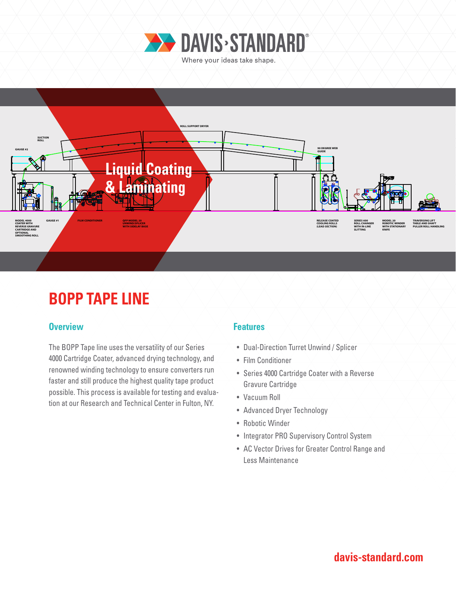



# **BOPP TAPE LINE**

#### **Overview Features**

The BOPP Tape line uses the versatility of our Series 4000 Cartridge Coater, advanced drying technology, and renowned winding technology to ensure converters run faster and still produce the highest quality tape product possible. This process is available for testing and evaluation at our Research and Technical Center in Fulton, NY.

- Dual-Direction Turret Unwind / Splicer
- Film Conditioner
- Series 4000 Cartridge Coater with a Reverse Gravure Cartridge
- Vacuum Roll
- Advanced Dryer Technology
- Robotic Winder
- Integrator PRO Supervisory Control System
- AC Vector Drives for Greater Control Range and Less Maintenance

# **davis-standard.com**